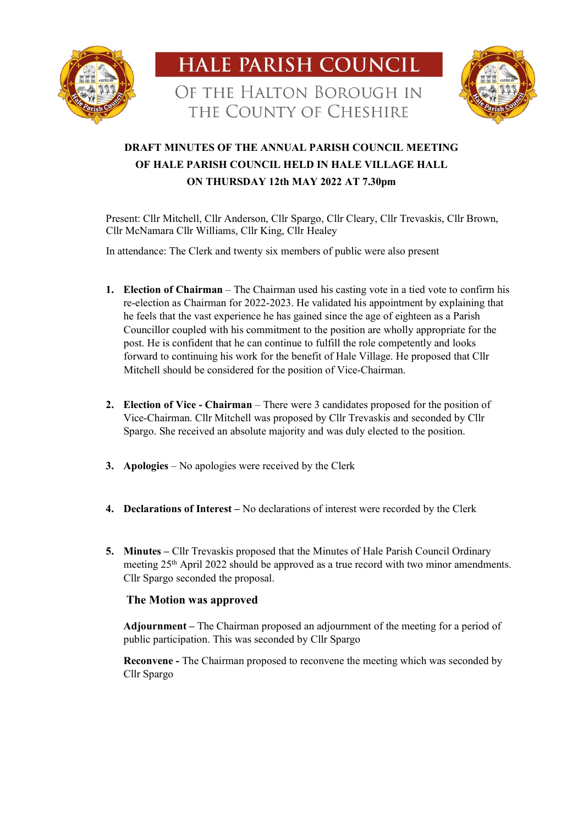





# **DRAFT MINUTES OF THE ANNUAL PARISH COUNCIL MEETING OF HALE PARISH COUNCIL HELD IN HALE VILLAGE HALL ON THURSDAY 12th MAY 2022 AT 7.30pm**

Present: Cllr Mitchell, Cllr Anderson, Cllr Spargo, Cllr Cleary, Cllr Trevaskis, Cllr Brown, Cllr McNamara Cllr Williams, Cllr King, Cllr Healey

In attendance: The Clerk and twenty six members of public were also present

- **1. Election of Chairman** The Chairman used his casting vote in a tied vote to confirm his re-election as Chairman for 2022-2023. He validated his appointment by explaining that he feels that the vast experience he has gained since the age of eighteen as a Parish Councillor coupled with his commitment to the position are wholly appropriate for the post. He is confident that he can continue to fulfill the role competently and looks forward to continuing his work for the benefit of Hale Village. He proposed that Cllr Mitchell should be considered for the position of Vice-Chairman.
- **2. Election of Vice - Chairman** There were 3 candidates proposed for the position of Vice-Chairman. Cllr Mitchell was proposed by Cllr Trevaskis and seconded by Cllr Spargo. She received an absolute majority and was duly elected to the position.
- **3. Apologies** No apologies were received by the Clerk
- **4. Declarations of Interest –** No declarations of interest were recorded by the Clerk
- **5. Minutes –** Cllr Trevaskis proposed that the Minutes of Hale Parish Council Ordinary meeting 25th April 2022 should be approved as a true record with two minor amendments. Cllr Spargo seconded the proposal.

## **The Motion was approved**

**Adjournment –** The Chairman proposed an adjournment of the meeting for a period of public participation. This was seconded by Cllr Spargo

**Reconvene -** The Chairman proposed to reconvene the meeting which was seconded by Cllr Spargo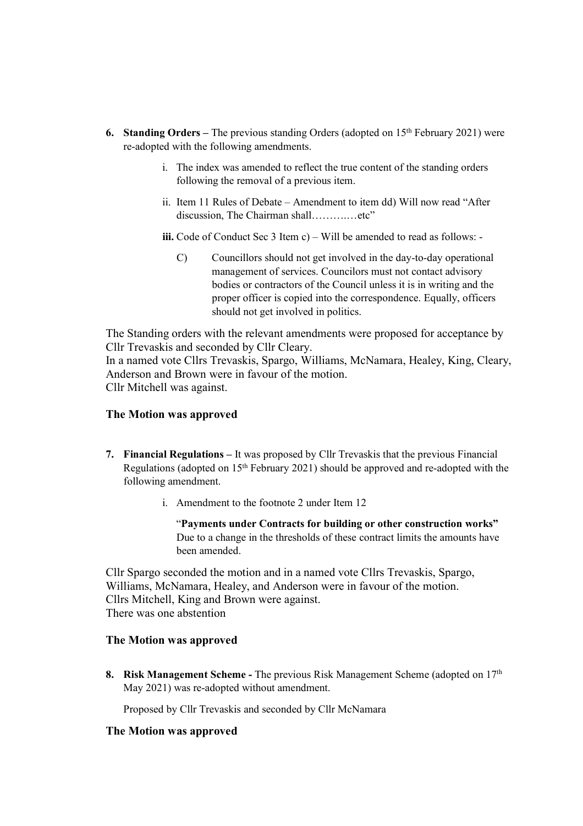- **6. Standing Orders –** The previous standing Orders (adopted on 15th February 2021) were re-adopted with the following amendments.
	- i. The index was amended to reflect the true content of the standing orders following the removal of a previous item.
	- ii. Item 11 Rules of Debate Amendment to item dd) Will now read "After discussion, The Chairman shall………….etc"

**iii.** Code of Conduct Sec 3 Item c) – Will be amended to read as follows: -

C) Councillors should not get involved in the day-to-day operational management of services. Councilors must not contact advisory bodies or contractors of the Council unless it is in writing and the proper officer is copied into the correspondence. Equally, officers should not get involved in politics.

The Standing orders with the relevant amendments were proposed for acceptance by Cllr Trevaskis and seconded by Cllr Cleary.

In a named vote Cllrs Trevaskis, Spargo, Williams, McNamara, Healey, King, Cleary, Anderson and Brown were in favour of the motion. Cllr Mitchell was against.

## **The Motion was approved**

- **7. Financial Regulations –** It was proposed by Cllr Trevaskis that the previous Financial Regulations (adopted on  $15<sup>th</sup>$  February 2021) should be approved and re-adopted with the following amendment.
	- i. Amendment to the footnote 2 under Item 12

"**Payments under Contracts for building or other construction works"** Due to a change in the thresholds of these contract limits the amounts have been amended.

Cllr Spargo seconded the motion and in a named vote Cllrs Trevaskis, Spargo, Williams, McNamara, Healey, and Anderson were in favour of the motion. Cllrs Mitchell, King and Brown were against. There was one abstention

## **The Motion was approved**

**8. Risk Management Scheme -** The previous Risk Management Scheme (adopted on 17th May 2021) was re-adopted without amendment.

Proposed by Cllr Trevaskis and seconded by Cllr McNamara

## **The Motion was approved**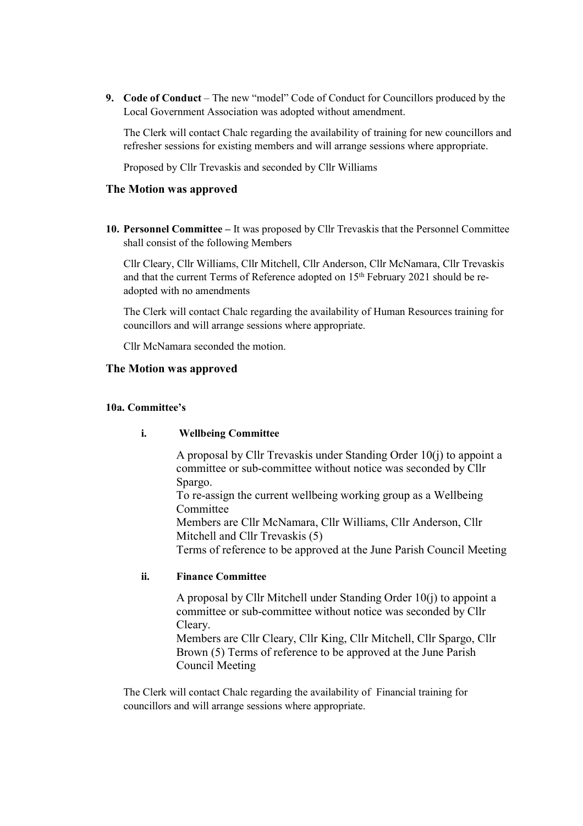**9. Code of Conduct** – The new "model" Code of Conduct for Councillors produced by the Local Government Association was adopted without amendment.

The Clerk will contact Chalc regarding the availability of training for new councillors and refresher sessions for existing members and will arrange sessions where appropriate.

Proposed by Cllr Trevaskis and seconded by Cllr Williams

## **The Motion was approved**

**10. Personnel Committee –** It was proposed by Cllr Trevaskis that the Personnel Committee shall consist of the following Members

Cllr Cleary, Cllr Williams, Cllr Mitchell, Cllr Anderson, Cllr McNamara, Cllr Trevaskis and that the current Terms of Reference adopted on 15<sup>th</sup> February 2021 should be readopted with no amendments

The Clerk will contact Chalc regarding the availability of Human Resources training for councillors and will arrange sessions where appropriate.

Cllr McNamara seconded the motion.

#### **The Motion was approved**

#### **10a. Committee's**

#### **i. Wellbeing Committee**

A proposal by Cllr Trevaskis under Standing Order 10(j) to appoint a committee or sub-committee without notice was seconded by Cllr Spargo.

To re-assign the current wellbeing working group as a Wellbeing Committee

Members are Cllr McNamara, Cllr Williams, Cllr Anderson, Cllr Mitchell and Cllr Trevaskis (5)

Terms of reference to be approved at the June Parish Council Meeting

## **ii. Finance Committee**

A proposal by Cllr Mitchell under Standing Order 10(j) to appoint a committee or sub-committee without notice was seconded by Cllr Cleary.

Members are Cllr Cleary, Cllr King, Cllr Mitchell, Cllr Spargo, Cllr Brown (5) Terms of reference to be approved at the June Parish Council Meeting

The Clerk will contact Chalc regarding the availability of Financial training for councillors and will arrange sessions where appropriate.